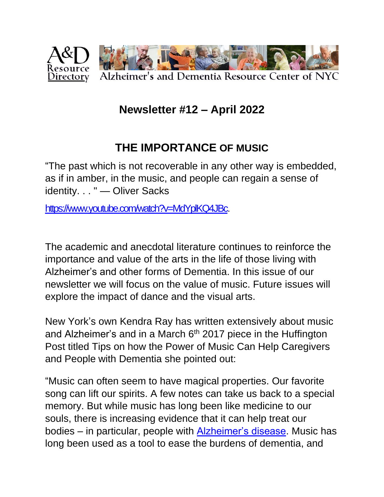

### **Newsletter #12 – April 2022**

## **THE IMPORTANCE OF MUSIC**

"The past which is not recoverable in any other way is embedded, as if in amber, in the music, and people can regain a sense of identity. . . " — Oliver Sacks

[https://www.youtube.com/watch?v=MdYplKQ4JBc.](https://www.youtube.com/watch?v=MdYplKQ4JBc)

The academic and anecdotal literature continues to reinforce the importance and value of the arts in the life of those living with Alzheimer's and other forms of Dementia. In this issue of our newsletter we will focus on the value of music. Future issues will explore the impact of dance and the visual arts.

New York's own Kendra Ray has written extensively about music and Alzheimer's and in a March  $6<sup>th</sup>$  2017 piece in the Huffington Post titled Tips on how the Power of Music Can Help Caregivers and People with Dementia she pointed out:

"Music can often seem to have magical properties. Our favorite song can lift our spirits. A few notes can take us back to a special memory. But while music has long been like medicine to our souls, there is increasing evidence that it can help treat our bodies – in particular, people with [Alzheimer's disease.](https://www.alzfdn.org/EducationandCare/musictherapy.html) Music has long been used as a tool to ease the burdens of dementia, and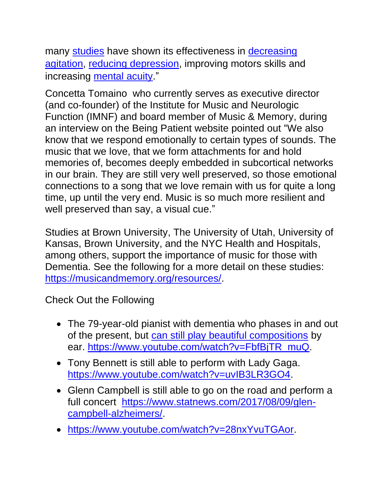many [studies](http://www.umh.org/assisted-independent-living-blog/the-benefits-of-music-for-seniors-with-alzheimers-and-dementia) have shown its effectiveness in [decreasing](http://www.alzheimersanddementia.com/article/S1552-5260(15)01838-5/abstract)  [agitation,](http://www.alzheimersanddementia.com/article/S1552-5260(15)01838-5/abstract) [reducing depression,](http://austinpublishinggroup.com/depression-anxiety/download.php?file=fulltext/depression-v2-id1057.pdf) improving motors skills and increasing [mental acuity.](http://www.alzheimers.net/2014-07-21/why-music-boosts-brain-activity-in-dementia-patients/)"

Concetta Tomaino who currently serves as executive director (and co-founder) of the Institute for Music and Neurologic Function (IMNF) and board member of Music & Memory, during an interview on the Being Patient website pointed out "We also know that we respond emotionally to certain types of sounds. The music that we love, that we form attachments for and hold memories of, becomes deeply embedded in subcortical networks in our brain. They are still very well preserved, so those emotional connections to a song that we love remain with us for quite a long time, up until the very end. Music is so much more resilient and well preserved than say, a visual cue."

Studies at Brown University, The University of Utah, University of Kansas, Brown University, and the NYC Health and Hospitals, among others, support the importance of music for those with Dementia. See the following for a more detail on these studies: [https://musicandmemory.org/resources/.](https://musicandmemory.org/resources/)

Check Out the Following

- The 79-year-old pianist with dementia who phases in and out of the present, but [can still play beautiful compositions](https://www.beingpatient.com/pianist-with-dementia/) by ear. [https://www.youtube.com/watch?v=FbfBjTR\\_muQ.](https://www.youtube.com/watch?v=FbfBjTR_muQ)
- Tony Bennett is still able to perform with Lady Gaga. [https://www.youtube.com/watch?v=uvIB3LR3GO4.](https://www.youtube.com/watch?v=uvIB3LR3GO4)
- Glenn Campbell is still able to go on the road and perform a full concert [https://www.statnews.com/2017/08/09/glen](https://www.statnews.com/2017/08/09/glen-campbell-alzheimers/)[campbell-alzheimers/.](https://www.statnews.com/2017/08/09/glen-campbell-alzheimers/)
- [https://www.youtube.com/watch?v=28nxYvuTGAor.](https://www.youtube.com/watch?v=28nxYvuTGAor)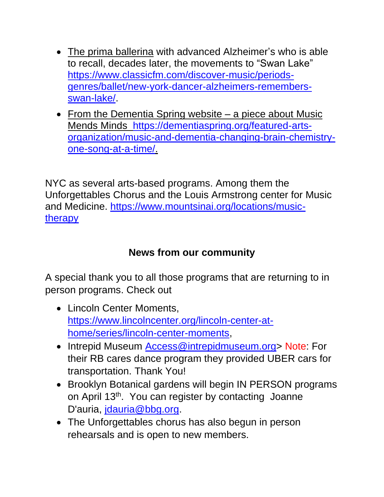- [The prima ballerina](https://www.beingpatient.com/marta-gonzalez-saldana-prima-ballerina-alzheimers-swan-lake/) with advanced Alzheimer's who is able to recall, decades later, the movements to "Swan Lake" [https://www.classicfm.com/discover-music/periods](https://www.classicfm.com/discover-music/periods-genres/ballet/new-york-dancer-alzheimers-remembers-swan-lake/)[genres/ballet/new-york-dancer-alzheimers-remembers](https://www.classicfm.com/discover-music/periods-genres/ballet/new-york-dancer-alzheimers-remembers-swan-lake/)[swan-lake/.](https://www.classicfm.com/discover-music/periods-genres/ballet/new-york-dancer-alzheimers-remembers-swan-lake/)
- From the Dementia Spring website a piece about Music Mends Minds [https://dementiaspring.org/featured-arts](https://dementiaspring.org/featured-arts-organization/music-and-dementia-changing-brain-chemistry-one-song-at-a-time/)[organization/music-and-dementia-changing-brain-chemistry](https://dementiaspring.org/featured-arts-organization/music-and-dementia-changing-brain-chemistry-one-song-at-a-time/)[one-song-at-a-time/.](https://dementiaspring.org/featured-arts-organization/music-and-dementia-changing-brain-chemistry-one-song-at-a-time/)

NYC as several arts-based programs. Among them the Unforgettables Chorus and the Louis Armstrong center for Music and Medicine. [https://www.mountsinai.org/locations/music](https://www.mountsinai.org/locations/music-therapy)[therapy](https://www.mountsinai.org/locations/music-therapy)

#### **News from our community**

A special thank you to all those programs that are returning to in person programs. Check out

- Lincoln Center Moments, [https://www.lincolncenter.org/lincoln-center-at](https://www.lincolncenter.org/lincoln-center-at-home/series/lincoln-center-moments)[home/series/lincoln-center-moments,](https://www.lincolncenter.org/lincoln-center-at-home/series/lincoln-center-moments)
- Intrepid Museum [Access@intrepidmuseum.org>](mailto:Access@intrepidmuseum.org) Note: For their RB cares dance program they provided UBER cars for transportation. Thank You!
- Brooklyn Botanical gardens will begin IN PERSON programs on April 13<sup>th</sup>. You can register by contacting Joanne D'auria, [jdauria@bbg.org.](mailto:jdauria@bbg.org)
- The Unforgettables chorus has also begun in person rehearsals and is open to new members.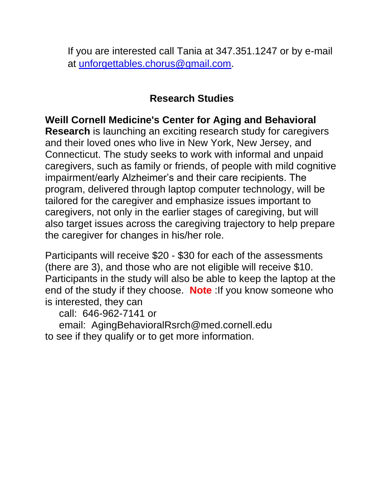If you are interested call Tania at 347.351.1247 or by e-mail at [unforgettables.chorus@gmail.com.](mailto:unforgettables.chorus@gmail.com)

#### **Research Studies**

**Weill Cornell Medicine's Center for Aging and Behavioral Research** is launching an exciting research study for caregivers and their loved ones who live in New York, New Jersey, and Connecticut. The study seeks to work with informal and unpaid caregivers, such as family or friends, of people with mild cognitive impairment/early Alzheimer's and their care recipients. The program, delivered through laptop computer technology, will be tailored for the caregiver and emphasize issues important to caregivers, not only in the earlier stages of caregiving, but will also target issues across the caregiving trajectory to help prepare the caregiver for changes in his/her role.

Participants will receive \$20 - \$30 for each of the assessments (there are 3), and those who are not eligible will receive \$10. Participants in the study will also be able to keep the laptop at the end of the study if they choose. **Note** :If you know someone who is interested, they can

call: 646-962-7141 or

 email: AgingBehavioralRsrch@med.cornell.edu to see if they qualify or to get more information.